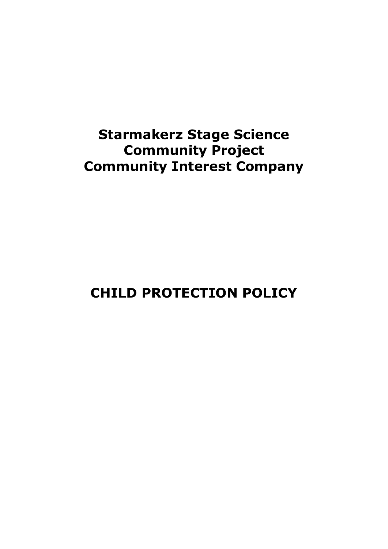# **Starmakerz Stage Science Community Project Community Interest Company**

**CHILD PROTECTION POLICY**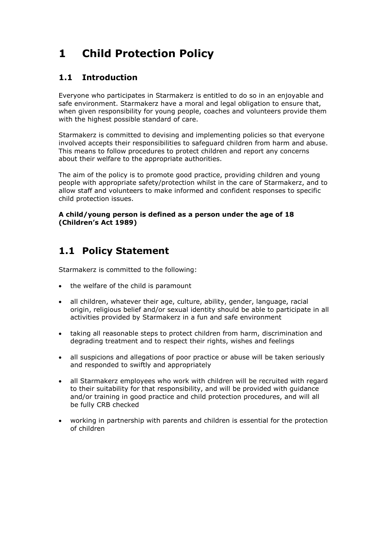# **1 Child Protection Policy**

#### **1.1 Introduction**

Everyone who participates in Starmakerz is entitled to do so in an enjoyable and safe environment. Starmakerz have a moral and legal obligation to ensure that, when given responsibility for young people, coaches and volunteers provide them with the highest possible standard of care.

Starmakerz is committed to devising and implementing policies so that everyone involved accepts their responsibilities to safeguard children from harm and abuse. This means to follow procedures to protect children and report any concerns about their welfare to the appropriate authorities.

The aim of the policy is to promote good practice, providing children and young people with appropriate safety/protection whilst in the care of Starmakerz, and to allow staff and volunteers to make informed and confident responses to specific child protection issues.

#### **A child/young person is defined as a person under the age of 18 (Children's Act 1989)**

### **1.1 Policy Statement**

Starmakerz is committed to the following:

- the welfare of the child is paramount
- all children, whatever their age, culture, ability, gender, language, racial origin, religious belief and/or sexual identity should be able to participate in all activities provided by Starmakerz in a fun and safe environment
- taking all reasonable steps to protect children from harm, discrimination and degrading treatment and to respect their rights, wishes and feelings
- all suspicions and allegations of poor practice or abuse will be taken seriously and responded to swiftly and appropriately
- all Starmakerz employees who work with children will be recruited with regard to their suitability for that responsibility, and will be provided with guidance and/or training in good practice and child protection procedures, and will all be fully CRB checked
- working in partnership with parents and children is essential for the protection of children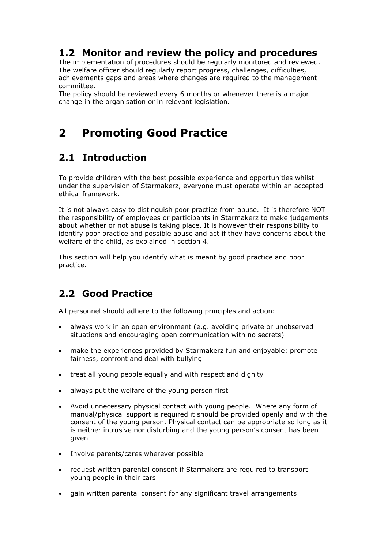#### **1.2 Monitor and review the policy and procedures**

The implementation of procedures should be regularly monitored and reviewed. The welfare officer should regularly report progress, challenges, difficulties, achievements gaps and areas where changes are required to the management committee.

The policy should be reviewed every 6 months or whenever there is a major change in the organisation or in relevant legislation.

# **2 Promoting Good Practice**

### **2.1 Introduction**

To provide children with the best possible experience and opportunities whilst under the supervision of Starmakerz, everyone must operate within an accepted ethical framework.

It is not always easy to distinguish poor practice from abuse. It is therefore NOT the responsibility of employees or participants in Starmakerz to make judgements about whether or not abuse is taking place. It is however their responsibility to identify poor practice and possible abuse and act if they have concerns about the welfare of the child, as explained in section 4.

This section will help you identify what is meant by good practice and poor practice.

# **2.2 Good Practice**

All personnel should adhere to the following principles and action:

- always work in an open environment (e.g. avoiding private or unobserved situations and encouraging open communication with no secrets)
- make the experiences provided by Starmakerz fun and enjoyable: promote fairness, confront and deal with bullying
- treat all young people equally and with respect and dignity
- always put the welfare of the young person first
- Avoid unnecessary physical contact with young people. Where any form of manual/physical support is required it should be provided openly and with the consent of the young person. Physical contact can be appropriate so long as it is neither intrusive nor disturbing and the young person's consent has been given
- Involve parents/cares wherever possible
- request written parental consent if Starmakerz are required to transport young people in their cars
- gain written parental consent for any significant travel arrangements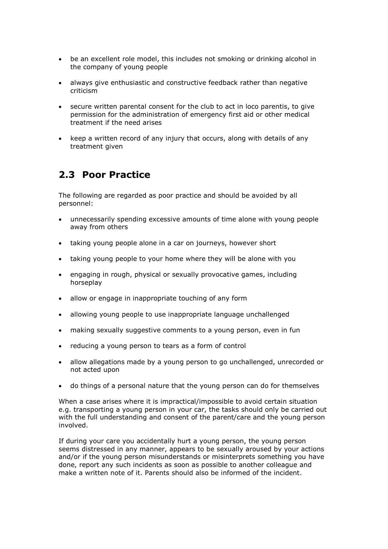- be an excellent role model, this includes not smoking or drinking alcohol in the company of young people
- always give enthusiastic and constructive feedback rather than negative criticism
- secure written parental consent for the club to act in loco parentis, to give permission for the administration of emergency first aid or other medical treatment if the need arises
- keep a written record of any injury that occurs, along with details of any treatment given

### **2.3 Poor Practice**

The following are regarded as poor practice and should be avoided by all personnel:

- unnecessarily spending excessive amounts of time alone with young people away from others
- taking young people alone in a car on journeys, however short
- taking young people to your home where they will be alone with you
- engaging in rough, physical or sexually provocative games, including horseplay
- allow or engage in inappropriate touching of any form
- allowing young people to use inappropriate language unchallenged
- making sexually suggestive comments to a young person, even in fun
- reducing a young person to tears as a form of control
- allow allegations made by a young person to go unchallenged, unrecorded or not acted upon
- do things of a personal nature that the young person can do for themselves

When a case arises where it is impractical/impossible to avoid certain situation e.g. transporting a young person in your car, the tasks should only be carried out with the full understanding and consent of the parent/care and the young person involved.

If during your care you accidentally hurt a young person, the young person seems distressed in any manner, appears to be sexually aroused by your actions and/or if the young person misunderstands or misinterprets something you have done, report any such incidents as soon as possible to another colleague and make a written note of it. Parents should also be informed of the incident.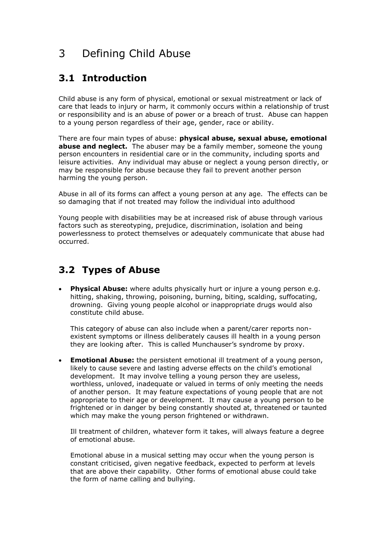# 3 Defining Child Abuse

### **3.1 Introduction**

Child abuse is any form of physical, emotional or sexual mistreatment or lack of care that leads to injury or harm, it commonly occurs within a relationship of trust or responsibility and is an abuse of power or a breach of trust. Abuse can happen to a young person regardless of their age, gender, race or ability.

There are four main types of abuse: **physical abuse, sexual abuse, emotional abuse and neglect.** The abuser may be a family member, someone the young person encounters in residential care or in the community, including sports and leisure activities. Any individual may abuse or neglect a young person directly, or may be responsible for abuse because they fail to prevent another person harming the young person.

Abuse in all of its forms can affect a young person at any age. The effects can be so damaging that if not treated may follow the individual into adulthood

Young people with disabilities may be at increased risk of abuse through various factors such as stereotyping, prejudice, discrimination, isolation and being powerlessness to protect themselves or adequately communicate that abuse had occurred.

#### **3.2 Types of Abuse**

• **Physical Abuse:** where adults physically hurt or injure a young person e.g. hitting, shaking, throwing, poisoning, burning, biting, scalding, suffocating, drowning. Giving young people alcohol or inappropriate drugs would also constitute child abuse.

This category of abuse can also include when a parent/carer reports nonexistent symptoms or illness deliberately causes ill health in a young person they are looking after. This is called Munchauser's syndrome by proxy.

**Emotional Abuse:** the persistent emotional ill treatment of a young person, likely to cause severe and lasting adverse effects on the child's emotional development. It may involve telling a young person they are useless, worthless, unloved, inadequate or valued in terms of only meeting the needs of another person. It may feature expectations of young people that are not appropriate to their age or development. It may cause a young person to be frightened or in danger by being constantly shouted at, threatened or taunted which may make the young person frightened or withdrawn.

Ill treatment of children, whatever form it takes, will always feature a degree of emotional abuse.

Emotional abuse in a musical setting may occur when the young person is constant criticised, given negative feedback, expected to perform at levels that are above their capability. Other forms of emotional abuse could take the form of name calling and bullying.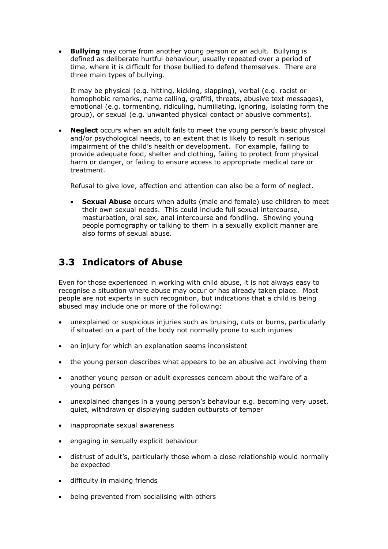• **Bullying** may come from another young person or an adult. Bullying is defined as deliberate hurtful behaviour, usually repeated over a period of time, where it is difficult for those bullied to defend themselves. There are three main types of bullying.

It may be physical (e.g. hitting, kicking, slapping), verbal (e.g. racist or homophobic remarks, name calling, graffiti, threats, abusive text messages), emotional (e.g. tormenting, ridiculing, humiliating, ignoring, isolating form the group), or sexual (e.g. unwanted physical contact or abusive comments).

• **Neglect** occurs when an adult fails to meet the young person's basic physical and/or psychological needs, to an extent that is likely to result in serious impairment of the child's health or development. For example, failing to provide adequate food, shelter and clothing, failing to protect from physical harm or danger, or failing to ensure access to appropriate medical care or treatment.

Refusal to give love, affection and attention can also be a form of neglect.

• **Sexual Abuse** occurs when adults (male and female) use children to meet their own sexual needs. This could include full sexual intercourse, masturbation, oral sex, anal intercourse and fondling. Showing young people pornography or talking to them in a sexually explicit manner are also forms of sexual abuse.

### **3.3 Indicators of Abuse**

Even for those experienced in working with child abuse, it is not always easy to recognise a situation where abuse may occur or has already taken place. Most people are not experts in such recognition, but indications that a child is being abused may include one or more of the following:

- unexplained or suspicious injuries such as bruising, cuts or burns, particularly if situated on a part of the body not normally prone to such injuries
- an injury for which an explanation seems inconsistent
- the young person describes what appears to be an abusive act involving them
- another young person or adult expresses concern about the welfare of a young person
- unexplained changes in a young person's behaviour e.g. becoming very upset, quiet, withdrawn or displaying sudden outbursts of temper
- inappropriate sexual awareness
- engaging in sexually explicit behaviour
- distrust of adult's, particularly those whom a close relationship would normally be expected
- difficulty in making friends
- being prevented from socialising with others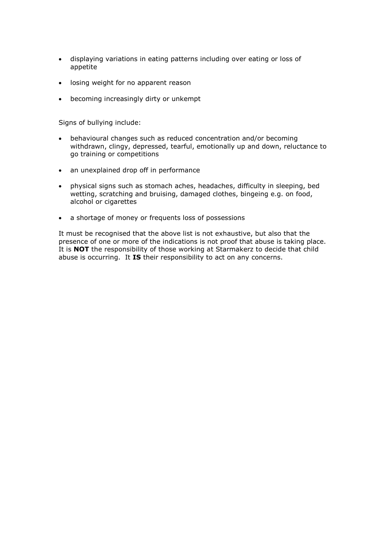- displaying variations in eating patterns including over eating or loss of appetite
- losing weight for no apparent reason
- becoming increasingly dirty or unkempt

Signs of bullying include:

- behavioural changes such as reduced concentration and/or becoming withdrawn, clingy, depressed, tearful, emotionally up and down, reluctance to go training or competitions
- an unexplained drop off in performance
- physical signs such as stomach aches, headaches, difficulty in sleeping, bed wetting, scratching and bruising, damaged clothes, bingeing e.g. on food, alcohol or cigarettes
- a shortage of money or frequents loss of possessions

It must be recognised that the above list is not exhaustive, but also that the presence of one or more of the indications is not proof that abuse is taking place. It is **NOT** the responsibility of those working at Starmakerz to decide that child abuse is occurring. It **IS** their responsibility to act on any concerns.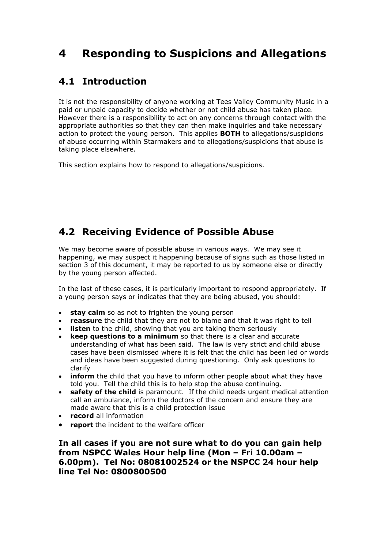# **4 Responding to Suspicions and Allegations**

#### **4.1 Introduction**

It is not the responsibility of anyone working at Tees Valley Community Music in a paid or unpaid capacity to decide whether or not child abuse has taken place. However there is a responsibility to act on any concerns through contact with the appropriate authorities so that they can then make inquiries and take necessary action to protect the young person. This applies **BOTH** to allegations/suspicions of abuse occurring within Starmakers and to allegations/suspicions that abuse is taking place elsewhere.

This section explains how to respond to allegations/suspicions.

# **4.2 Receiving Evidence of Possible Abuse**

We may become aware of possible abuse in various ways. We may see it happening, we may suspect it happening because of signs such as those listed in section 3 of this document, it may be reported to us by someone else or directly by the young person affected.

In the last of these cases, it is particularly important to respond appropriately. If a young person says or indicates that they are being abused, you should:

- **stay calm** so as not to frighten the young person
- **reassure** the child that they are not to blame and that it was right to tell
- **listen** to the child, showing that you are taking them seriously
- **keep questions to a minimum** so that there is a clear and accurate understanding of what has been said. The law is very strict and child abuse cases have been dismissed where it is felt that the child has been led or words and ideas have been suggested during questioning. Only ask questions to clarify
- **inform** the child that you have to inform other people about what they have told you. Tell the child this is to help stop the abuse continuing.
- **safety of the child** is paramount. If the child needs urgent medical attention call an ambulance, inform the doctors of the concern and ensure they are made aware that this is a child protection issue
- **record** all information
- **report** the incident to the welfare officer

**In all cases if you are not sure what to do you can gain help from NSPCC Wales Hour help line (Mon – Fri 10.00am – 6.00pm). Tel No: 08081002524 or the NSPCC 24 hour help line Tel No: 0800800500**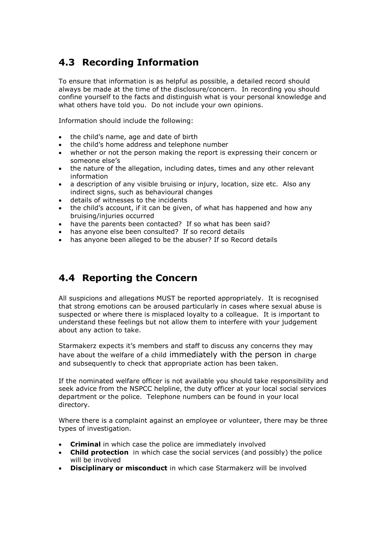### **4.3 Recording Information**

To ensure that information is as helpful as possible, a detailed record should always be made at the time of the disclosure/concern. In recording you should confine yourself to the facts and distinguish what is your personal knowledge and what others have told you. Do not include your own opinions.

Information should include the following:

- the child's name, age and date of birth
- the child's home address and telephone number
- whether or not the person making the report is expressing their concern or someone else's
- the nature of the allegation, including dates, times and any other relevant information
- a description of any visible bruising or injury, location, size etc. Also any indirect signs, such as behavioural changes
- details of witnesses to the incidents
- the child's account, if it can be given, of what has happened and how any bruising/injuries occurred
- have the parents been contacted?If so what has been said?
- has anyone else been consulted? If so record details
- has anyone been alleged to be the abuser? If so Record details

#### **4.4 Reporting the Concern**

All suspicions and allegations MUST be reported appropriately. It is recognised that strong emotions can be aroused particularly in cases where sexual abuse is suspected or where there is misplaced loyalty to a colleague. It is important to understand these feelings but not allow them to interfere with your judgement about any action to take.

Starmakerz expects it's members and staff to discuss any concerns they may have about the welfare of a child immediately with the person in charge and subsequently to check that appropriate action has been taken.

If the nominated welfare officer is not available you should take responsibility and seek advice from the NSPCC helpline, the duty officer at your local social services department or the police. Telephone numbers can be found in your local directory.

Where there is a complaint against an employee or volunteer, there may be three types of investigation.

- **Criminal** in which case the police are immediately involved
- **Child protection** in which case the social services (and possibly) the police will be involved
- **Disciplinary or misconduct** in which case Starmakerz will be involved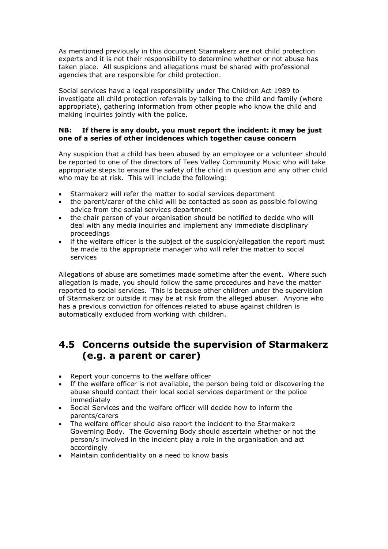As mentioned previously in this document Starmakerz are not child protection experts and it is not their responsibility to determine whether or not abuse has taken place. All suspicions and allegations must be shared with professional agencies that are responsible for child protection.

Social services have a legal responsibility under The Children Act 1989 to investigate all child protection referrals by talking to the child and family (where appropriate), gathering information from other people who know the child and making inquiries jointly with the police.

#### **NB: If there is any doubt, you must report the incident: it may be just one of a series of other incidences which together cause concern**

Any suspicion that a child has been abused by an employee or a volunteer should be reported to one of the directors of Tees Valley Community Music who will take appropriate steps to ensure the safety of the child in question and any other child who may be at risk. This will include the following:

- Starmakerz will refer the matter to social services department
- the parent/carer of the child will be contacted as soon as possible following advice from the social services department
- the chair person of your organisation should be notified to decide who will deal with any media inquiries and implement any immediate disciplinary proceedings
- if the welfare officer is the subject of the suspicion/allegation the report must be made to the appropriate manager who will refer the matter to social services

Allegations of abuse are sometimes made sometime after the event. Where such allegation is made, you should follow the same procedures and have the matter reported to social services. This is because other children under the supervision of Starmakerz or outside it may be at risk from the alleged abuser. Anyone who has a previous conviction for offences related to abuse against children is automatically excluded from working with children.

#### **4.5 Concerns outside the supervision of Starmakerz (e.g. a parent or carer)**

- Report your concerns to the welfare officer
- If the welfare officer is not available, the person being told or discovering the abuse should contact their local social services department or the police immediately
- Social Services and the welfare officer will decide how to inform the parents/carers
- The welfare officer should also report the incident to the Starmakerz Governing Body. The Governing Body should ascertain whether or not the person/s involved in the incident play a role in the organisation and act accordingly
- Maintain confidentiality on a need to know basis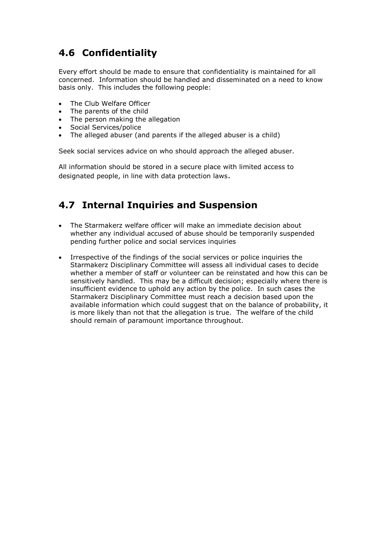# **4.6 Confidentiality**

Every effort should be made to ensure that confidentiality is maintained for all concerned. Information should be handled and disseminated on a need to know basis only. This includes the following people:

- The Club Welfare Officer
- The parents of the child
- The person making the allegation
- Social Services/police
- The alleged abuser (and parents if the alleged abuser is a child)

Seek social services advice on who should approach the alleged abuser.

All information should be stored in a secure place with limited access to designated people, in line with data protection laws.

#### **4.7 Internal Inquiries and Suspension**

- The Starmakerz welfare officer will make an immediate decision about whether any individual accused of abuse should be temporarily suspended pending further police and social services inquiries
- Irrespective of the findings of the social services or police inquiries the Starmakerz Disciplinary Committee will assess all individual cases to decide whether a member of staff or volunteer can be reinstated and how this can be sensitively handled. This may be a difficult decision; especially where there is insufficient evidence to uphold any action by the police. In such cases the Starmakerz Disciplinary Committee must reach a decision based upon the available information which could suggest that on the balance of probability, it is more likely than not that the allegation is true. The welfare of the child should remain of paramount importance throughout.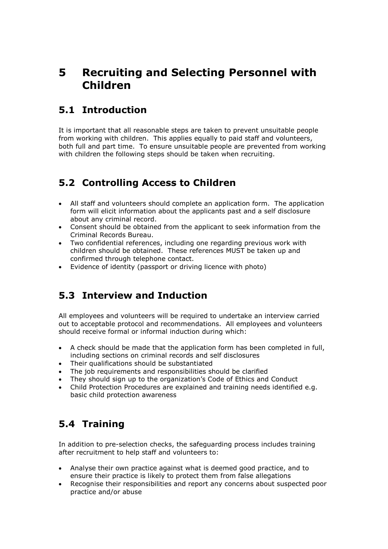# **5 Recruiting and Selecting Personnel with Children**

#### **5.1 Introduction**

It is important that all reasonable steps are taken to prevent unsuitable people from working with children. This applies equally to paid staff and volunteers, both full and part time. To ensure unsuitable people are prevented from working with children the following steps should be taken when recruiting.

# **5.2 Controlling Access to Children**

- All staff and volunteers should complete an application form. The application form will elicit information about the applicants past and a self disclosure about any criminal record.
- Consent should be obtained from the applicant to seek information from the Criminal Records Bureau.
- Two confidential references, including one regarding previous work with children should be obtained. These references MUST be taken up and confirmed through telephone contact.
- Evidence of identity (passport or driving licence with photo)

# **5.3 Interview and Induction**

All employees and volunteers will be required to undertake an interview carried out to acceptable protocol and recommendations. All employees and volunteers should receive formal or informal induction during which:

- A check should be made that the application form has been completed in full, including sections on criminal records and self disclosures
- Their qualifications should be substantiated
- The job requirements and responsibilities should be clarified
- They should sign up to the organization's Code of Ethics and Conduct
- Child Protection Procedures are explained and training needs identified e.g. basic child protection awareness

# **5.4 Training**

In addition to pre-selection checks, the safeguarding process includes training after recruitment to help staff and volunteers to:

- Analyse their own practice against what is deemed good practice, and to ensure their practice is likely to protect them from false allegations
- Recognise their responsibilities and report any concerns about suspected poor practice and/or abuse